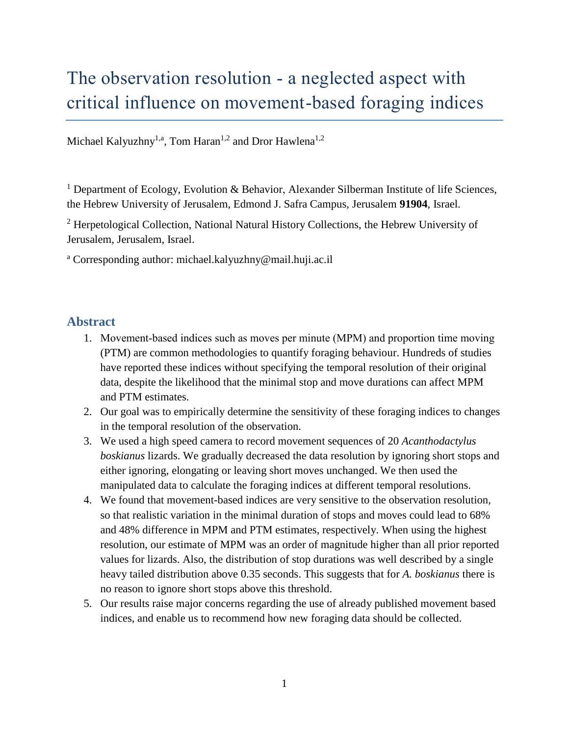# The observation resolution - a neglected aspect with critical influence on movement-based foraging indices

Michael Kalyuzhny<sup>1,a</sup>, Tom Haran<sup>1,2</sup> and Dror Hawlena<sup>1,2</sup>

<sup>1</sup> Department of Ecology, Evolution & Behavior, Alexander Silberman Institute of life Sciences, the Hebrew University of Jerusalem, Edmond J. Safra Campus, Jerusalem **91904**, Israel.

<sup>2</sup> Herpetological Collection, National Natural History Collections, the Hebrew University of Jerusalem, Jerusalem, Israel.

<sup>a</sup> Corresponding author: michael.kalyuzhny@mail.huji.ac.il

## **Abstract**

- 1. Movement‐based indices such as moves per minute (MPM) and proportion time moving (PTM) are common methodologies to quantify foraging behaviour. Hundreds of studies have reported these indices without specifying the temporal resolution of their original data, despite the likelihood that the minimal stop and move durations can affect MPM and PTM estimates.
- 2. Our goal was to empirically determine the sensitivity of these foraging indices to changes in the temporal resolution of the observation.
- 3. We used a high speed camera to record movement sequences of 20 *Acanthodactylus boskianus* lizards. We gradually decreased the data resolution by ignoring short stops and either ignoring, elongating or leaving short moves unchanged. We then used the manipulated data to calculate the foraging indices at different temporal resolutions.
- 4. We found that movement-based indices are very sensitive to the observation resolution, so that realistic variation in the minimal duration of stops and moves could lead to 68% and 48% difference in MPM and PTM estimates, respectively. When using the highest resolution, our estimate of MPM was an order of magnitude higher than all prior reported values for lizards. Also, the distribution of stop durations was well described by a single heavy tailed distribution above 0.35 seconds. This suggests that for *A. boskianus* there is no reason to ignore short stops above this threshold.
- 5. Our results raise major concerns regarding the use of already published movement based indices, and enable us to recommend how new foraging data should be collected.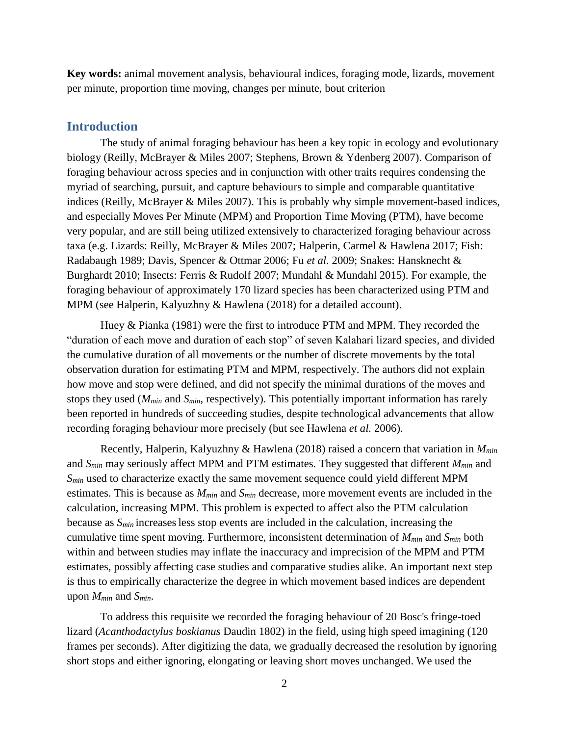**Key words:** animal movement analysis, behavioural indices, foraging mode, lizards, movement per minute, proportion time moving, changes per minute, bout criterion

### **Introduction**

The study of animal foraging behaviour has been a key topic in ecology and evolutionary biology (Reilly, McBrayer & Miles 2007; Stephens, Brown & Ydenberg 2007). Comparison of foraging behaviour across species and in conjunction with other traits requires condensing the myriad of searching, pursuit, and capture behaviours to simple and comparable quantitative indices (Reilly, McBrayer & Miles 2007). This is probably why simple movement-based indices, and especially Moves Per Minute (MPM) and Proportion Time Moving (PTM), have become very popular, and are still being utilized extensively to characterized foraging behaviour across taxa (e.g. Lizards: Reilly, McBrayer & Miles 2007; Halperin, Carmel & Hawlena 2017; Fish: Radabaugh 1989; Davis, Spencer & Ottmar 2006; Fu *et al.* 2009; Snakes: Hansknecht & Burghardt 2010; Insects: Ferris & Rudolf 2007; Mundahl & Mundahl 2015). For example, the foraging behaviour of approximately 170 lizard species has been characterized using PTM and MPM (see Halperin, Kalyuzhny & Hawlena (2018) for a detailed account).

Huey & Pianka (1981) were the first to introduce PTM and MPM. They recorded the "duration of each move and duration of each stop" of seven Kalahari lizard species, and divided the cumulative duration of all movements or the number of discrete movements by the total observation duration for estimating PTM and MPM, respectively. The authors did not explain how move and stop were defined, and did not specify the minimal durations of the moves and stops they used (*Mmin* and *Smin*, respectively). This potentially important information has rarely been reported in hundreds of succeeding studies, despite technological advancements that allow recording foraging behaviour more precisely (but see Hawlena *et al.* 2006).

Recently, Halperin, Kalyuzhny & Hawlena (2018) raised a concern that variation in *Mmin*  and *Smin* may seriously affect MPM and PTM estimates. They suggested that different *Mmin* and *Smin* used to characterize exactly the same movement sequence could yield different MPM estimates. This is because as *Mmin* and *Smin* decrease, more movement events are included in the calculation, increasing MPM. This problem is expected to affect also the PTM calculation because as  $S_{min}$  increases less stop events are included in the calculation, increasing the cumulative time spent moving. Furthermore, inconsistent determination of *Mmin* and *Smin* both within and between studies may inflate the inaccuracy and imprecision of the MPM and PTM estimates, possibly affecting case studies and comparative studies alike. An important next step is thus to empirically characterize the degree in which movement based indices are dependent upon *Mmin* and *Smin*.

To address this requisite we recorded the foraging behaviour of 20 Bosc's fringe-toed lizard (*Acanthodactylus boskianus* Daudin 1802) in the field, using high speed imagining (120 frames per seconds). After digitizing the data, we gradually decreased the resolution by ignoring short stops and either ignoring, elongating or leaving short moves unchanged. We used the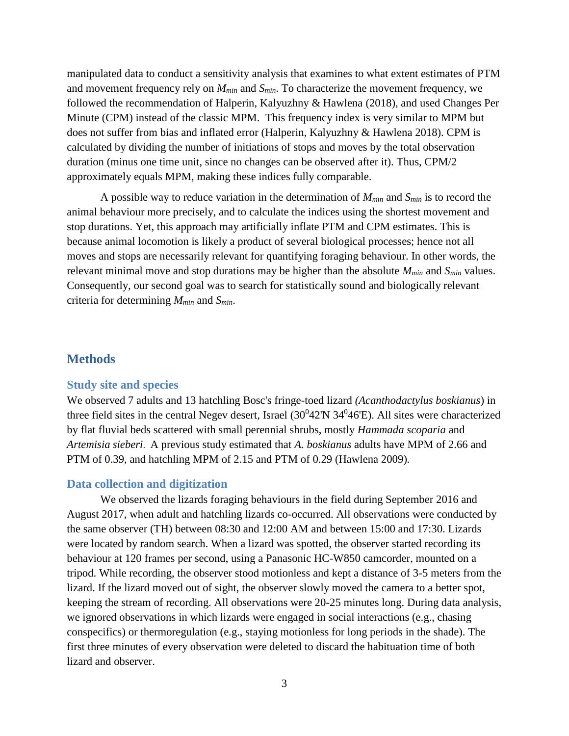manipulated data to conduct a sensitivity analysis that examines to what extent estimates of PTM and movement frequency rely on *Mmin* and *Smin*. To characterize the movement frequency, we followed the recommendation of Halperin, Kalyuzhny & Hawlena (2018), and used Changes Per Minute (CPM) instead of the classic MPM. This frequency index is very similar to MPM but does not suffer from bias and inflated error (Halperin, Kalyuzhny & Hawlena 2018). CPM is calculated by dividing the number of initiations of stops and moves by the total observation duration (minus one time unit, since no changes can be observed after it). Thus, CPM/2 approximately equals MPM, making these indices fully comparable.

A possible way to reduce variation in the determination of *Mmin* and *Smin* is to record the animal behaviour more precisely, and to calculate the indices using the shortest movement and stop durations. Yet, this approach may artificially inflate PTM and CPM estimates. This is because animal locomotion is likely a product of several biological processes; hence not all moves and stops are necessarily relevant for quantifying foraging behaviour. In other words, the relevant minimal move and stop durations may be higher than the absolute *Mmin* and *Smin* values. Consequently, our second goal was to search for statistically sound and biologically relevant criteria for determining *Mmin* and *Smin*.

## **Methods**

#### **Study site and species**

We observed 7 adults and 13 hatchling Bosc's fringe-toed lizard *(Acanthodactylus boskianus*) in three field sites in the central Negev desert, Israel  $(30^042'N 34^046'E)$ . All sites were characterized by flat fluvial beds scattered with small perennial shrubs, mostly *Hammada scoparia* and *Artemisia sieberi*. A previous study estimated that *A. boskianus* adults have MPM of 2.66 and PTM of 0.39, and hatchling MPM of 2.15 and PTM of 0.29 (Hawlena 2009)*.* 

#### **Data collection and digitization**

We observed the lizards foraging behaviours in the field during September 2016 and August 2017, when adult and hatchling lizards co-occurred. All observations were conducted by the same observer (TH) between 08:30 and 12:00 AM and between 15:00 and 17:30. Lizards were located by random search. When a lizard was spotted, the observer started recording its behaviour at 120 frames per second, using a Panasonic HC-W850 camcorder, mounted on a tripod. While recording, the observer stood motionless and kept a distance of 3-5 meters from the lizard. If the lizard moved out of sight, the observer slowly moved the camera to a better spot, keeping the stream of recording. All observations were 20-25 minutes long. During data analysis, we ignored observations in which lizards were engaged in social interactions (e.g., chasing conspecifics) or thermoregulation (e.g., staying motionless for long periods in the shade). The first three minutes of every observation were deleted to discard the habituation time of both lizard and observer.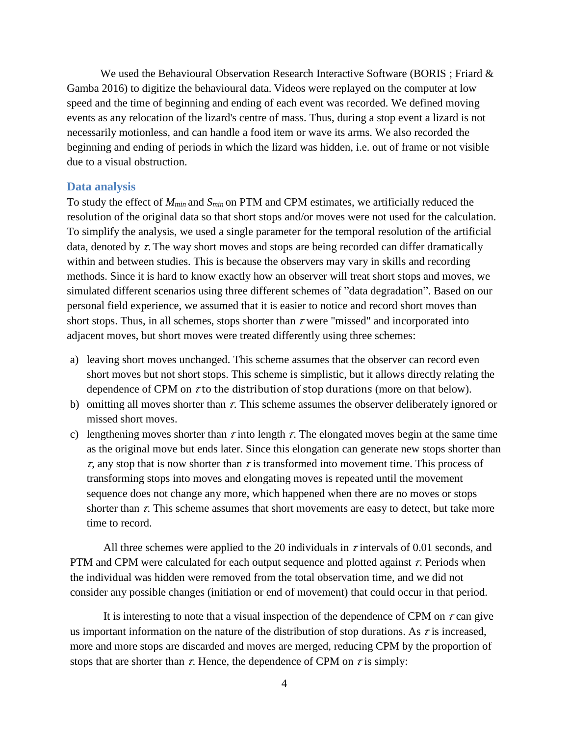We used the Behavioural Observation Research Interactive Software (BORIS ; Friard  $\&$ Gamba 2016) to digitize the behavioural data. Videos were replayed on the computer at low speed and the time of beginning and ending of each event was recorded. We defined moving events as any relocation of the lizard's centre of mass. Thus, during a stop event a lizard is not necessarily motionless, and can handle a food item or wave its arms. We also recorded the beginning and ending of periods in which the lizard was hidden, i.e. out of frame or not visible due to a visual obstruction.

#### **Data analysis**

To study the effect of *Mmin* and *Smin* on PTM and CPM estimates, we artificially reduced the resolution of the original data so that short stops and/or moves were not used for the calculation. To simplify the analysis, we used a single parameter for the temporal resolution of the artificial data, denoted by  $\tau$ . The way short moves and stops are being recorded can differ dramatically within and between studies. This is because the observers may vary in skills and recording methods. Since it is hard to know exactly how an observer will treat short stops and moves, we simulated different scenarios using three different schemes of "data degradation". Based on our personal field experience, we assumed that it is easier to notice and record short moves than short stops. Thus, in all schemes, stops shorter than  $\tau$  were "missed" and incorporated into adjacent moves, but short moves were treated differently using three schemes:

- a) leaving short moves unchanged. This scheme assumes that the observer can record even short moves but not short stops. This scheme is simplistic, but it allows directly relating the dependence of CPM on  $\tau$  to the distribution of stop durations (more on that below).
- b) omitting all moves shorter than  $\tau$ . This scheme assumes the observer deliberately ignored or missed short moves.
- c) lengthening moves shorter than  $\tau$  into length  $\tau$ . The elongated moves begin at the same time as the original move but ends later. Since this elongation can generate new stops shorter than  $\tau$ , any stop that is now shorter than  $\tau$  is transformed into movement time. This process of transforming stops into moves and elongating moves is repeated until the movement sequence does not change any more, which happened when there are no moves or stops shorter than  $\tau$ . This scheme assumes that short movements are easy to detect, but take more time to record.

All three schemes were applied to the 20 individuals in  $\tau$  intervals of 0.01 seconds, and PTM and CPM were calculated for each output sequence and plotted against  $\tau$ . Periods when the individual was hidden were removed from the total observation time, and we did not consider any possible changes (initiation or end of movement) that could occur in that period.

It is interesting to note that a visual inspection of the dependence of CPM on  $\tau$  can give us important information on the nature of the distribution of stop durations. As  $\tau$  is increased, more and more stops are discarded and moves are merged, reducing CPM by the proportion of stops that are shorter than  $\tau$ . Hence, the dependence of CPM on  $\tau$  is simply: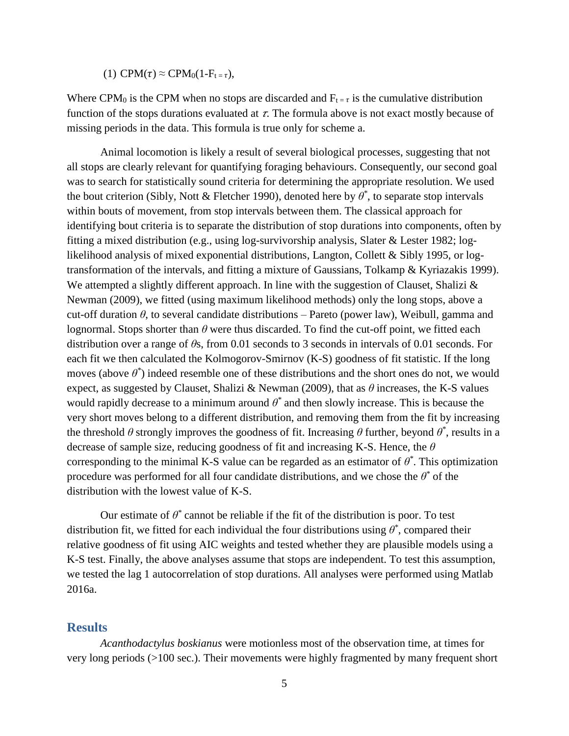(1) CPM( $\tau$ )  $\approx$  CPM<sub>0</sub>(1-F<sub>t =  $\tau$ ),</sub>

Where CPM<sub>0</sub> is the CPM when no stops are discarded and  $F_{t} = \tau$  is the cumulative distribution function of the stops durations evaluated at  $\tau$ . The formula above is not exact mostly because of missing periods in the data. This formula is true only for scheme a.

Animal locomotion is likely a result of several biological processes, suggesting that not all stops are clearly relevant for quantifying foraging behaviours. Consequently, our second goal was to search for statistically sound criteria for determining the appropriate resolution. We used the bout criterion (Sibly, Nott & Fletcher 1990), denoted here by *θ \** , to separate stop intervals within bouts of movement, from stop intervals between them. The classical approach for identifying bout criteria is to separate the distribution of stop durations into components, often by fitting a mixed distribution (e.g., using log-survivorship analysis, Slater & Lester 1982; loglikelihood analysis of mixed exponential distributions, Langton, Collett & Sibly 1995, or logtransformation of the intervals, and fitting a mixture of Gaussians, Tolkamp & Kyriazakis 1999). We attempted a slightly different approach. In line with the suggestion of Clauset, Shalizi  $\&$ Newman (2009), we fitted (using maximum likelihood methods) only the long stops, above a cut-off duration *θ*, to several candidate distributions – Pareto (power law), Weibull, gamma and lognormal. Stops shorter than  $\theta$  were thus discarded. To find the cut-off point, we fitted each distribution over a range of *θ*s, from 0.01 seconds to 3 seconds in intervals of 0.01 seconds. For each fit we then calculated the Kolmogorov-Smirnov (K-S) goodness of fit statistic. If the long moves (above  $\theta^*$ ) indeed resemble one of these distributions and the short ones do not, we would expect, as suggested by Clauset, Shalizi & Newman (2009), that as *θ* increases, the K-S values would rapidly decrease to a minimum around  $\theta^*$  and then slowly increase. This is because the very short moves belong to a different distribution, and removing them from the fit by increasing the threshold  $\theta$  strongly improves the goodness of fit. Increasing  $\theta$  further, beyond  $\theta^*$ , results in a decrease of sample size, reducing goodness of fit and increasing K-S. Hence, the *θ*  corresponding to the minimal K-S value can be regarded as an estimator of  $\theta^*$ . This optimization procedure was performed for all four candidate distributions, and we chose the  $\theta^*$  of the distribution with the lowest value of K-S.

Our estimate of  $\theta^*$  cannot be reliable if the fit of the distribution is poor. To test distribution fit, we fitted for each individual the four distributions using  $\theta^*$ , compared their relative goodness of fit using AIC weights and tested whether they are plausible models using a K-S test. Finally, the above analyses assume that stops are independent. To test this assumption, we tested the lag 1 autocorrelation of stop durations. All analyses were performed using Matlab 2016a.

## **Results**

*Acanthodactylus boskianus* were motionless most of the observation time, at times for very long periods (>100 sec.). Their movements were highly fragmented by many frequent short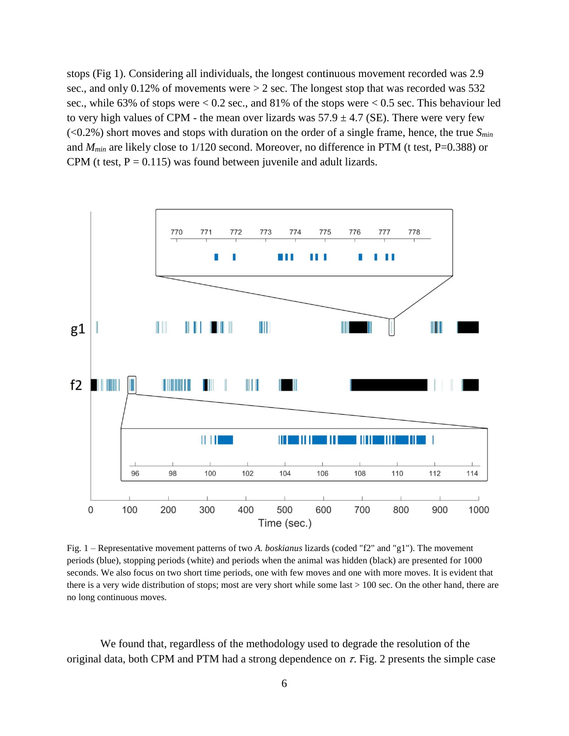stops (Fig 1). Considering all individuals, the longest continuous movement recorded was 2.9 sec., and only 0.12% of movements were  $> 2$  sec. The longest stop that was recorded was 532 sec., while 63% of stops were  $< 0.2$  sec., and 81% of the stops were  $< 0.5$  sec. This behaviour led to very high values of CPM - the mean over lizards was  $57.9 \pm 4.7$  (SE). There were very few (<0.2%) short moves and stops with duration on the order of a single frame, hence, the true *Smin* and  $M_{min}$  are likely close to 1/120 second. Moreover, no difference in PTM (t test, P=0.388) or CPM (t test,  $P = 0.115$ ) was found between juvenile and adult lizards.



Fig. 1 – Representative movement patterns of two *A. boskianus* lizards (coded "f2" and "g1"). The movement periods (blue), stopping periods (white) and periods when the animal was hidden (black) are presented for 1000 seconds. We also focus on two short time periods, one with few moves and one with more moves. It is evident that there is a very wide distribution of stops; most are very short while some last > 100 sec. On the other hand, there are no long continuous moves.

We found that, regardless of the methodology used to degrade the resolution of the original data, both CPM and PTM had a strong dependence on  $\tau$ . Fig. 2 presents the simple case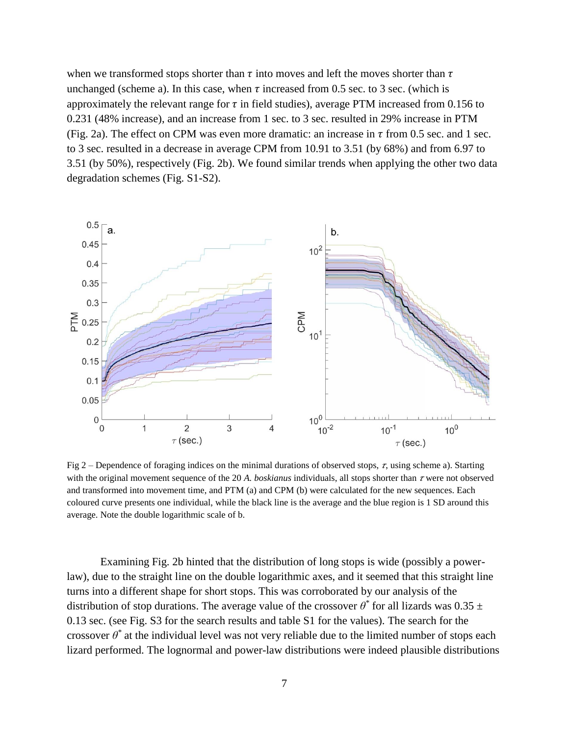when we transformed stops shorter than  $\tau$  into moves and left the moves shorter than  $\tau$ unchanged (scheme a). In this case, when  $\tau$  increased from 0.5 sec. to 3 sec. (which is approximately the relevant range for  $\tau$  in field studies), average PTM increased from 0.156 to 0.231 (48% increase), and an increase from 1 sec. to 3 sec. resulted in 29% increase in PTM (Fig. 2a). The effect on CPM was even more dramatic: an increase in  $\tau$  from 0.5 sec. and 1 sec. to 3 sec. resulted in a decrease in average CPM from 10.91 to 3.51 (by 68%) and from 6.97 to 3.51 (by 50%), respectively (Fig. 2b). We found similar trends when applying the other two data degradation schemes (Fig. S1-S2).



Fig 2 – Dependence of foraging indices on the minimal durations of observed stops,  $\tau$ , using scheme a). Starting with the original movement sequence of the 20 A. *boskianus* individuals, all stops shorter than  $\tau$  were not observed and transformed into movement time, and PTM (a) and CPM (b) were calculated for the new sequences. Each coloured curve presents one individual, while the black line is the average and the blue region is 1 SD around this average. Note the double logarithmic scale of b.

Examining Fig. 2b hinted that the distribution of long stops is wide (possibly a powerlaw), due to the straight line on the double logarithmic axes, and it seemed that this straight line turns into a different shape for short stops. This was corroborated by our analysis of the distribution of stop durations. The average value of the crossover  $\theta^*$  for all lizards was 0.35  $\pm$ 0.13 sec. (see Fig. S3 for the search results and table S1 for the values). The search for the crossover  $\theta^*$  at the individual level was not very reliable due to the limited number of stops each lizard performed. The lognormal and power-law distributions were indeed plausible distributions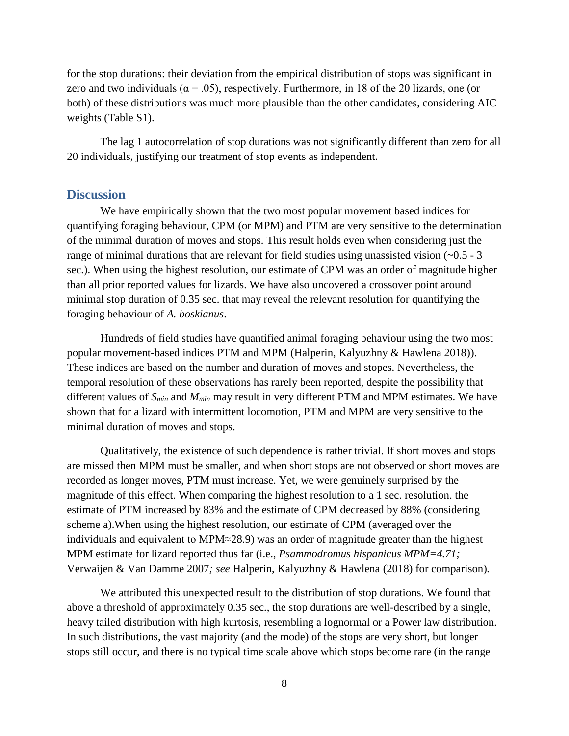for the stop durations: their deviation from the empirical distribution of stops was significant in zero and two individuals ( $\alpha = .05$ ), respectively. Furthermore, in 18 of the 20 lizards, one (or both) of these distributions was much more plausible than the other candidates, considering AIC weights (Table S1).

The lag 1 autocorrelation of stop durations was not significantly different than zero for all 20 individuals, justifying our treatment of stop events as independent.

## **Discussion**

We have empirically shown that the two most popular movement based indices for quantifying foraging behaviour, CPM (or MPM) and PTM are very sensitive to the determination of the minimal duration of moves and stops. This result holds even when considering just the range of minimal durations that are relevant for field studies using unassisted vision  $(-0.5 - 3)$ sec.). When using the highest resolution, our estimate of CPM was an order of magnitude higher than all prior reported values for lizards. We have also uncovered a crossover point around minimal stop duration of 0.35 sec. that may reveal the relevant resolution for quantifying the foraging behaviour of *A. boskianus*.

Hundreds of field studies have quantified animal foraging behaviour using the two most popular movement-based indices PTM and MPM (Halperin, Kalyuzhny & Hawlena 2018)). These indices are based on the number and duration of moves and stopes. Nevertheless, the temporal resolution of these observations has rarely been reported, despite the possibility that different values of *Smin* and *Mmin* may result in very different PTM and MPM estimates. We have shown that for a lizard with intermittent locomotion, PTM and MPM are very sensitive to the minimal duration of moves and stops.

Qualitatively, the existence of such dependence is rather trivial. If short moves and stops are missed then MPM must be smaller, and when short stops are not observed or short moves are recorded as longer moves, PTM must increase. Yet, we were genuinely surprised by the magnitude of this effect. When comparing the highest resolution to a 1 sec. resolution. the estimate of PTM increased by 83% and the estimate of CPM decreased by 88% (considering scheme a).When using the highest resolution, our estimate of CPM (averaged over the individuals and equivalent to MPM≈28.9) was an order of magnitude greater than the highest MPM estimate for lizard reported thus far (i.e., *Psammodromus hispanicus MPM=4.71;*  Verwaijen & Van Damme 2007*; see* Halperin, Kalyuzhny & Hawlena (2018) for comparison)*.* 

We attributed this unexpected result to the distribution of stop durations. We found that above a threshold of approximately 0.35 sec., the stop durations are well-described by a single, heavy tailed distribution with high kurtosis, resembling a lognormal or a Power law distribution. In such distributions, the vast majority (and the mode) of the stops are very short, but longer stops still occur, and there is no typical time scale above which stops become rare (in the range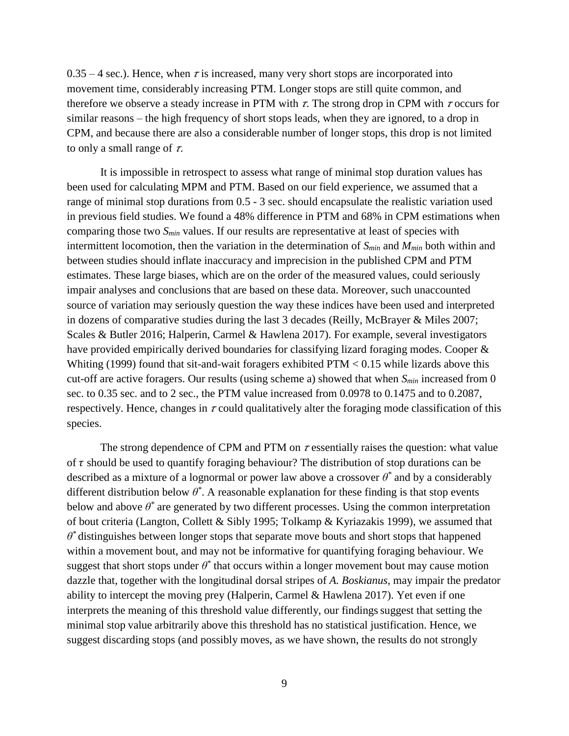$0.35 - 4$  sec.). Hence, when  $\tau$  is increased, many very short stops are incorporated into movement time, considerably increasing PTM. Longer stops are still quite common, and therefore we observe a steady increase in PTM with  $\tau$ . The strong drop in CPM with  $\tau$  occurs for similar reasons – the high frequency of short stops leads, when they are ignored, to a drop in CPM, and because there are also a considerable number of longer stops, this drop is not limited to only a small range of  $\tau$ .

It is impossible in retrospect to assess what range of minimal stop duration values has been used for calculating MPM and PTM. Based on our field experience, we assumed that a range of minimal stop durations from 0.5 - 3 sec. should encapsulate the realistic variation used in previous field studies. We found a 48% difference in PTM and 68% in CPM estimations when comparing those two *Smin* values. If our results are representative at least of species with intermittent locomotion, then the variation in the determination of *Smin* and *Mmin* both within and between studies should inflate inaccuracy and imprecision in the published CPM and PTM estimates. These large biases, which are on the order of the measured values, could seriously impair analyses and conclusions that are based on these data. Moreover, such unaccounted source of variation may seriously question the way these indices have been used and interpreted in dozens of comparative studies during the last 3 decades (Reilly, McBrayer & Miles 2007; Scales & Butler 2016; Halperin, Carmel & Hawlena 2017). For example, several investigators have provided empirically derived boundaries for classifying lizard foraging modes. Cooper & Whiting (1999) found that sit-and-wait foragers exhibited  $PTM < 0.15$  while lizards above this cut-off are active foragers. Our results (using scheme a) showed that when *Smin* increased from 0 sec. to 0.35 sec. and to 2 sec., the PTM value increased from 0.0978 to 0.1475 and to 0.2087, respectively. Hence, changes in  $\tau$  could qualitatively alter the foraging mode classification of this species.

The strong dependence of CPM and PTM on  $\tau$  essentially raises the question: what value of  $\tau$  should be used to quantify foraging behaviour? The distribution of stop durations can be described as a mixture of a lognormal or power law above a crossover *θ \** and by a considerably different distribution below  $\theta^*$ . A reasonable explanation for these finding is that stop events below and above  $\theta^*$  are generated by two different processes. Using the common interpretation of bout criteria (Langton, Collett & Sibly 1995; Tolkamp & Kyriazakis 1999), we assumed that  $\theta^*$  distinguishes between longer stops that separate move bouts and short stops that happened within a movement bout, and may not be informative for quantifying foraging behaviour. We suggest that short stops under  $\theta^*$  that occurs within a longer movement bout may cause motion dazzle that, together with the longitudinal dorsal stripes of *A. Boskianus*, may impair the predator ability to intercept the moving prey (Halperin, Carmel & Hawlena 2017). Yet even if one interprets the meaning of this threshold value differently, our findings suggest that setting the minimal stop value arbitrarily above this threshold has no statistical justification. Hence, we suggest discarding stops (and possibly moves, as we have shown, the results do not strongly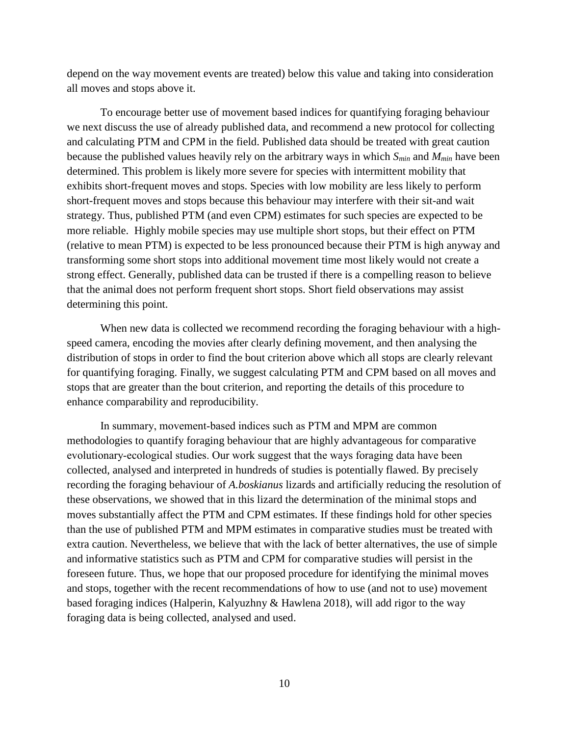depend on the way movement events are treated) below this value and taking into consideration all moves and stops above it.

To encourage better use of movement based indices for quantifying foraging behaviour we next discuss the use of already published data, and recommend a new protocol for collecting and calculating PTM and CPM in the field. Published data should be treated with great caution because the published values heavily rely on the arbitrary ways in which *Smin* and *Mmin* have been determined. This problem is likely more severe for species with intermittent mobility that exhibits short-frequent moves and stops. Species with low mobility are less likely to perform short-frequent moves and stops because this behaviour may interfere with their sit-and wait strategy. Thus, published PTM (and even CPM) estimates for such species are expected to be more reliable. Highly mobile species may use multiple short stops, but their effect on PTM (relative to mean PTM) is expected to be less pronounced because their PTM is high anyway and transforming some short stops into additional movement time most likely would not create a strong effect. Generally, published data can be trusted if there is a compelling reason to believe that the animal does not perform frequent short stops. Short field observations may assist determining this point.

When new data is collected we recommend recording the foraging behaviour with a highspeed camera, encoding the movies after clearly defining movement, and then analysing the distribution of stops in order to find the bout criterion above which all stops are clearly relevant for quantifying foraging. Finally, we suggest calculating PTM and CPM based on all moves and stops that are greater than the bout criterion, and reporting the details of this procedure to enhance comparability and reproducibility.

In summary, movement-based indices such as PTM and MPM are common methodologies to quantify foraging behaviour that are highly advantageous for comparative evolutionary‐ecological studies. Our work suggest that the ways foraging data have been collected, analysed and interpreted in hundreds of studies is potentially flawed. By precisely recording the foraging behaviour of *A.boskianus* lizards and artificially reducing the resolution of these observations, we showed that in this lizard the determination of the minimal stops and moves substantially affect the PTM and CPM estimates. If these findings hold for other species than the use of published PTM and MPM estimates in comparative studies must be treated with extra caution. Nevertheless, we believe that with the lack of better alternatives, the use of simple and informative statistics such as PTM and CPM for comparative studies will persist in the foreseen future. Thus, we hope that our proposed procedure for identifying the minimal moves and stops, together with the recent recommendations of how to use (and not to use) movement based foraging indices (Halperin, Kalyuzhny & Hawlena 2018), will add rigor to the way foraging data is being collected, analysed and used.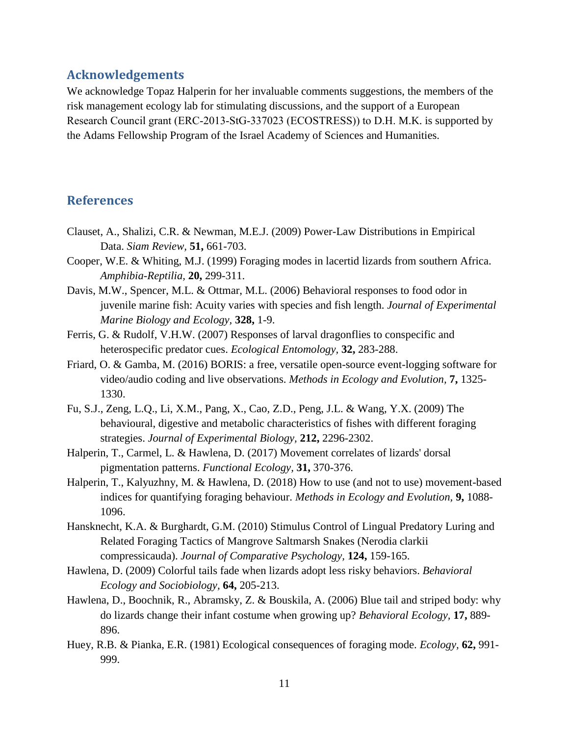## **Acknowledgements**

We acknowledge Topaz Halperin for her invaluable comments suggestions, the members of the risk management ecology lab for stimulating discussions, and the support of a European Research Council grant (ERC‐2013‐StG‐337023 (ECOSTRESS)) to D.H. M.K. is supported by the Adams Fellowship Program of the Israel Academy of Sciences and Humanities.

## **References**

- Clauset, A., Shalizi, C.R. & Newman, M.E.J. (2009) Power-Law Distributions in Empirical Data. *Siam Review,* **51,** 661-703.
- Cooper, W.E. & Whiting, M.J. (1999) Foraging modes in lacertid lizards from southern Africa. *Amphibia-Reptilia,* **20,** 299-311.
- Davis, M.W., Spencer, M.L. & Ottmar, M.L. (2006) Behavioral responses to food odor in juvenile marine fish: Acuity varies with species and fish length. *Journal of Experimental Marine Biology and Ecology,* **328,** 1-9.
- Ferris, G. & Rudolf, V.H.W. (2007) Responses of larval dragonflies to conspecific and heterospecific predator cues. *Ecological Entomology,* **32,** 283-288.
- Friard, O. & Gamba, M. (2016) BORIS: a free, versatile open-source event-logging software for video/audio coding and live observations. *Methods in Ecology and Evolution,* **7,** 1325- 1330.
- Fu, S.J., Zeng, L.Q., Li, X.M., Pang, X., Cao, Z.D., Peng, J.L. & Wang, Y.X. (2009) The behavioural, digestive and metabolic characteristics of fishes with different foraging strategies. *Journal of Experimental Biology,* **212,** 2296-2302.
- Halperin, T., Carmel, L. & Hawlena, D. (2017) Movement correlates of lizards' dorsal pigmentation patterns. *Functional Ecology,* **31,** 370-376.
- Halperin, T., Kalyuzhny, M. & Hawlena, D. (2018) How to use (and not to use) movement-based indices for quantifying foraging behaviour. *Methods in Ecology and Evolution,* **9,** 1088- 1096.
- Hansknecht, K.A. & Burghardt, G.M. (2010) Stimulus Control of Lingual Predatory Luring and Related Foraging Tactics of Mangrove Saltmarsh Snakes (Nerodia clarkii compressicauda). *Journal of Comparative Psychology,* **124,** 159-165.
- Hawlena, D. (2009) Colorful tails fade when lizards adopt less risky behaviors. *Behavioral Ecology and Sociobiology,* **64,** 205-213.
- Hawlena, D., Boochnik, R., Abramsky, Z. & Bouskila, A. (2006) Blue tail and striped body: why do lizards change their infant costume when growing up? *Behavioral Ecology,* **17,** 889- 896.
- Huey, R.B. & Pianka, E.R. (1981) Ecological consequences of foraging mode. *Ecology,* **62,** 991- 999.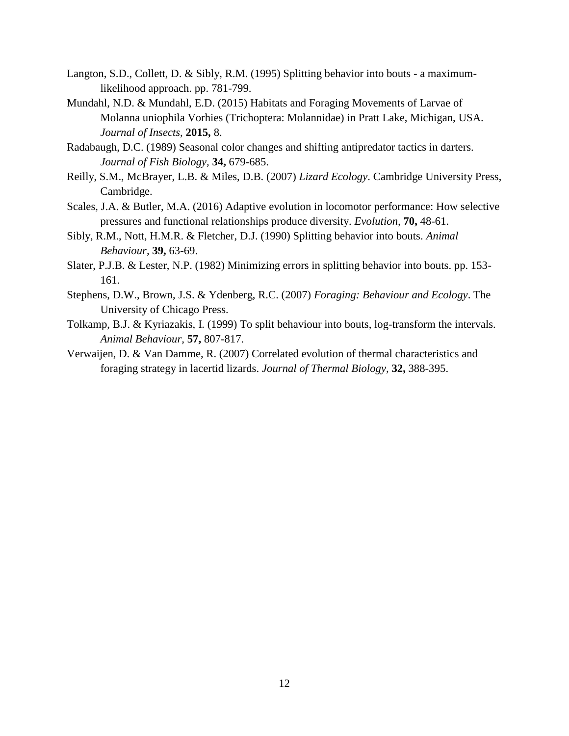- Langton, S.D., Collett, D. & Sibly, R.M. (1995) Splitting behavior into bouts a maximumlikelihood approach. pp. 781-799.
- Mundahl, N.D. & Mundahl, E.D. (2015) Habitats and Foraging Movements of Larvae of Molanna uniophila Vorhies (Trichoptera: Molannidae) in Pratt Lake, Michigan, USA. *Journal of Insects,* **2015,** 8.
- Radabaugh, D.C. (1989) Seasonal color changes and shifting antipredator tactics in darters. *Journal of Fish Biology,* **34,** 679-685.
- Reilly, S.M., McBrayer, L.B. & Miles, D.B. (2007) *Lizard Ecology*. Cambridge University Press, Cambridge.
- Scales, J.A. & Butler, M.A. (2016) Adaptive evolution in locomotor performance: How selective pressures and functional relationships produce diversity. *Evolution,* **70,** 48-61.
- Sibly, R.M., Nott, H.M.R. & Fletcher, D.J. (1990) Splitting behavior into bouts. *Animal Behaviour,* **39,** 63-69.
- Slater, P.J.B. & Lester, N.P. (1982) Minimizing errors in splitting behavior into bouts. pp. 153- 161.
- Stephens, D.W., Brown, J.S. & Ydenberg, R.C. (2007) *Foraging: Behaviour and Ecology*. The University of Chicago Press.
- Tolkamp, B.J. & Kyriazakis, I. (1999) To split behaviour into bouts, log-transform the intervals. *Animal Behaviour,* **57,** 807-817.
- Verwaijen, D. & Van Damme, R. (2007) Correlated evolution of thermal characteristics and foraging strategy in lacertid lizards. *Journal of Thermal Biology,* **32,** 388-395.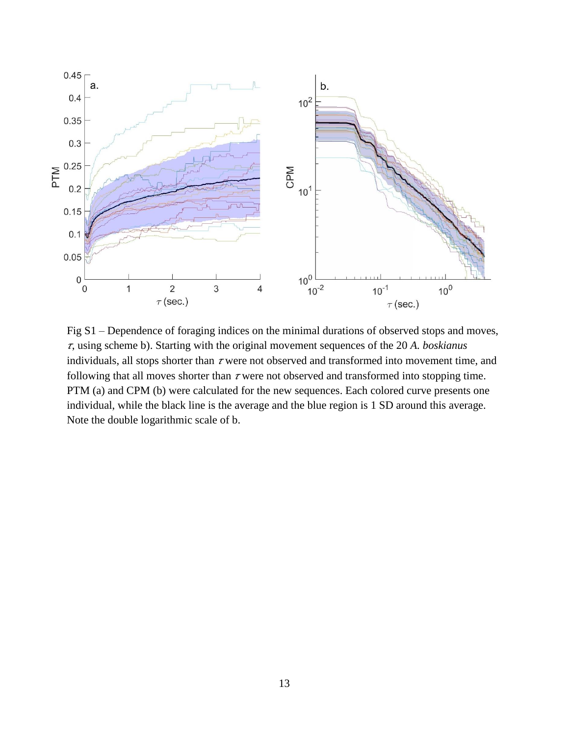

Fig S1 – Dependence of foraging indices on the minimal durations of observed stops and moves, , using scheme b). Starting with the original movement sequences of the 20 *A. boskianus* individuals, all stops shorter than  $\tau$  were not observed and transformed into movement time, and following that all moves shorter than  $\tau$  were not observed and transformed into stopping time. PTM (a) and CPM (b) were calculated for the new sequences. Each colored curve presents one individual, while the black line is the average and the blue region is 1 SD around this average. Note the double logarithmic scale of b.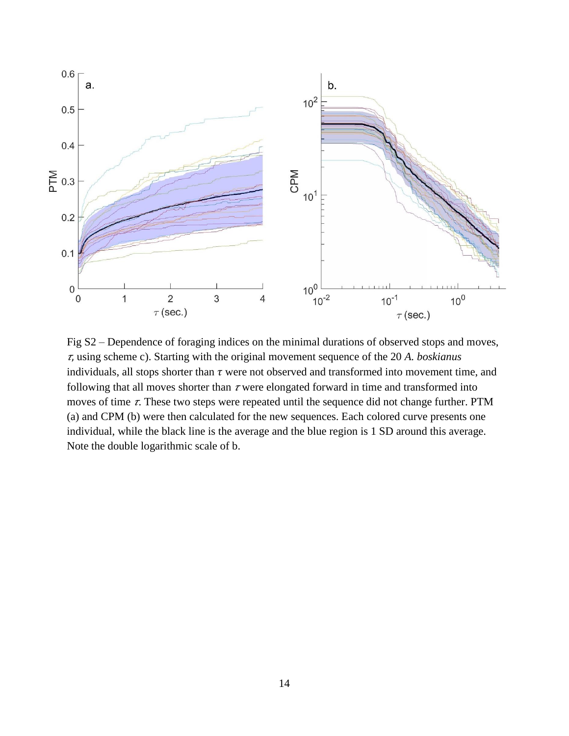

Fig S2 – Dependence of foraging indices on the minimal durations of observed stops and moves, , using scheme c). Starting with the original movement sequence of the 20 *A. boskianus* individuals, all stops shorter than  $\tau$  were not observed and transformed into movement time, and following that all moves shorter than  $\tau$  were elongated forward in time and transformed into moves of time  $\tau$ . These two steps were repeated until the sequence did not change further. PTM (a) and CPM (b) were then calculated for the new sequences. Each colored curve presents one individual, while the black line is the average and the blue region is 1 SD around this average. Note the double logarithmic scale of b.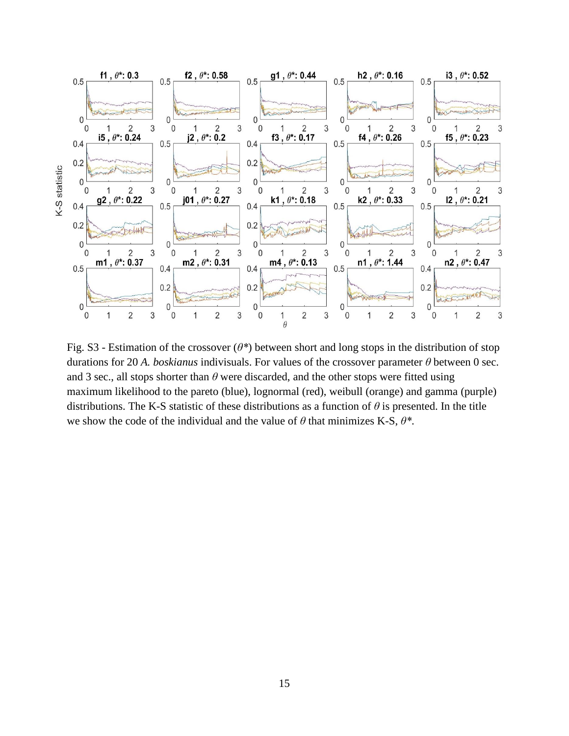

Fig. S3 - Estimation of the crossover (*θ\**) between short and long stops in the distribution of stop durations for 20 *A. boskianus* indivisuals. For values of the crossover parameter *θ* between 0 sec. and 3 sec., all stops shorter than  $\theta$  were discarded, and the other stops were fitted using maximum likelihood to the pareto (blue), lognormal (red), weibull (orange) and gamma (purple) distributions. The K-S statistic of these distributions as a function of *θ* is presented. In the title we show the code of the individual and the value of *θ* that minimizes K-S, *θ\**.